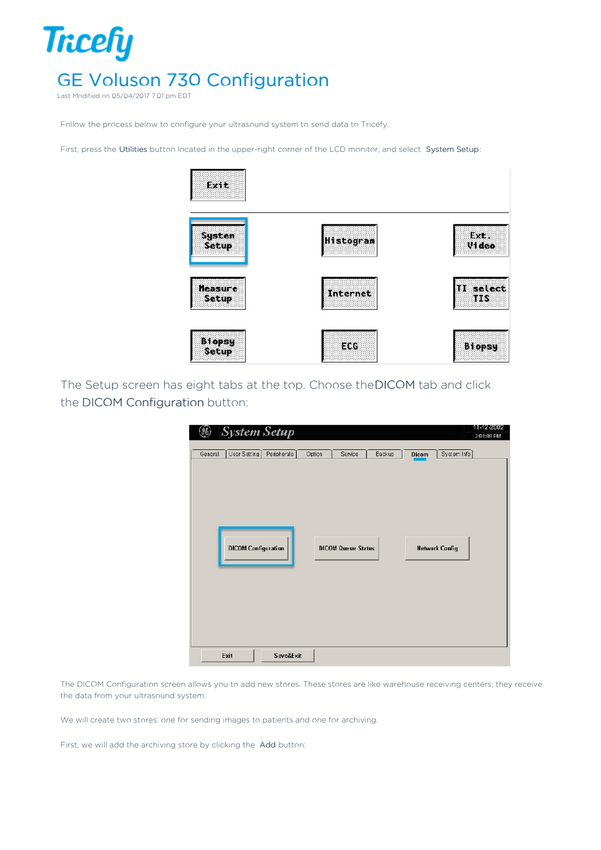

Last Modified on 05/04/2017 7:01 pm EDT

Follow the process below to configure your ultrasound system to send data to Tricefy.

First, press the Utilities button located in the upper-right corner of the LCD monitor, and select System Setup:



The Setup screen has eight tabs at the top. Choose theDICOM tab and click the DICOM Configuration button:

| 3<br><b>System Setup</b>                                                                | 11-12-2002<br>2:01:09 PM |
|-----------------------------------------------------------------------------------------|--------------------------|
| User Setting<br>Peripherals  <br>Option<br>General<br>Service<br>Backup<br><b>Dicom</b> | System Info              |
| DICOM Configuration<br><b>Network Config</b><br><b>DICOM Queue Status</b>               |                          |
| <b>Save&amp;Exit</b><br>Exit                                                            |                          |

The DICOM Configuration screen allows you to add new stores. These stores are like warehouse receiving centers; they receive the data from your ultrasound system.

We will create two stores: one for sending images to patients and one for archiving.

First, we will add the archiving store by clicking the Add button: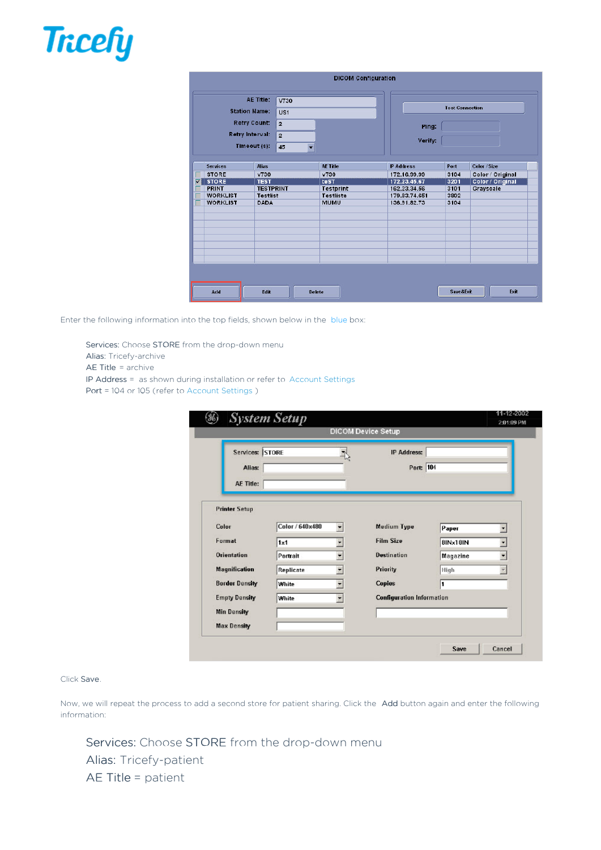

|                                       |                      |                  |                 | <b>DICOM Configuration</b> |                  |                        |                  |
|---------------------------------------|----------------------|------------------|-----------------|----------------------------|------------------|------------------------|------------------|
|                                       |                      | <b>AE Title:</b> | V730            |                            |                  |                        |                  |
|                                       | <b>Station Name:</b> |                  | US <sub>1</sub> |                            |                  | <b>Test Connection</b> |                  |
| <b>Retry Count:</b><br>$\overline{2}$ |                      |                  | Ping:           |                            |                  |                        |                  |
|                                       | Retry Interval:      |                  | $\overline{2}$  |                            |                  |                        |                  |
|                                       |                      | Timeout (s):     | 45<br>۰         |                            | Verify:          |                        |                  |
|                                       |                      |                  |                 |                            |                  |                        |                  |
|                                       | <b>Services</b>      | <b>Alias</b>     |                 | <b>AF Title</b>            | <b>P</b> Address | Port                   | Color / Size     |
|                                       | <b>STORE</b>         | v730             |                 | V730                       | 172.16.99.99     | 3104                   | Color / Original |
| $\overline{\mathsf{v}}$               | <b>STORE</b>         | <b>TEST</b>      |                 | teST                       | 172.23.45.67     | 3201                   | Color / Original |
|                                       | PRINT                | <b>TESTPRINT</b> |                 | <b>Testprint</b>           | 162.23.34.56     | 3101                   | Grayscale        |
|                                       | <b>WORKLIST</b>      | <b>Testlist</b>  |                 | <b>Testliste</b>           | 179.83.74.651    | 3802                   |                  |
|                                       | <b>WORKLIST</b>      | <b>DADA</b>      |                 | <b>MUMU</b>                | 136.91.82.73     | 3104                   |                  |
|                                       |                      |                  |                 |                            |                  |                        |                  |
|                                       |                      |                  |                 |                            |                  |                        |                  |
|                                       |                      |                  |                 |                            |                  |                        |                  |
|                                       |                      |                  |                 |                            |                  |                        |                  |
|                                       |                      |                  |                 |                            |                  |                        |                  |
|                                       |                      |                  |                 |                            |                  |                        |                  |
|                                       |                      |                  |                 |                            |                  |                        |                  |
|                                       |                      |                  |                 |                            |                  |                        |                  |
|                                       |                      |                  |                 |                            |                  |                        |                  |
|                                       |                      |                  |                 |                            |                  |                        |                  |
|                                       | Add                  | Edit             |                 | <b>Delete</b>              |                  | Save&Exit              | Exit             |
|                                       |                      |                  |                 |                            |                  |                        |                  |

Enter the following information into the top fields, shown below in the blue box:

Services: Choose STORE from the drop-down menu Alias: Tricefy-archive

AE Title = archive

IP Address = as shown during installation or refer to Account Settings

Port = 104 or 105 (refer to Account Settings )

| Services: STORE       |                 |                          | <b>IP Address:</b>               |                 |                          |
|-----------------------|-----------------|--------------------------|----------------------------------|-----------------|--------------------------|
| Alias:                |                 |                          | Port: 104                        |                 |                          |
| <b>AE Title:</b>      |                 |                          |                                  |                 |                          |
| <b>Printer Setup</b>  |                 |                          |                                  |                 |                          |
| Color                 | Color / 640×480 | $\overline{\phantom{0}}$ | <b>Medium Type</b>               | Paper           | ▾                        |
| Format                | 1x1             | $\overline{\phantom{a}}$ | <b>Film Size</b>                 | 8INx10IN        | $\overline{\phantom{a}}$ |
| <b>Orientation</b>    | Portrait        | ٠                        | <b>Destination</b>               | <b>Magazine</b> | $\blacksquare$           |
| <b>Magnification</b>  | Replicate       | ٠                        | <b>Priority</b>                  | High            |                          |
| <b>Border Density</b> | White           | ۰                        | <b>Copies</b>                    | 1               |                          |
| <b>Empty Density</b>  | White           | ÷                        | <b>Configuration Information</b> |                 |                          |
| <b>Min Density</b>    |                 |                          |                                  |                 |                          |
| <b>Max Density</b>    |                 |                          |                                  |                 |                          |

## Click Save.

Now, we will repeat the process to add a second store for patient sharing. Click the Add button again and enter the following information:

Services: Choose STORE from the drop-down menu Alias: Tricefy-patient AE Title = patient